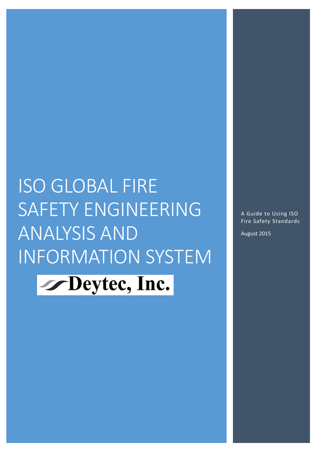# ISO GLOBAL FIRE SAFETY ENGINEERING ANALYSIS AND INFORMATION SYSTEM

Deytec, Inc.

A Guide to Using ISO Fire Safety Standards August 2015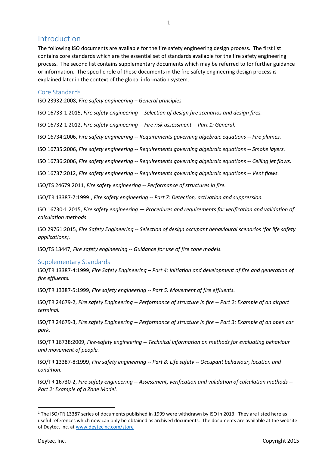# Introduction

The following ISO documents are available for the fire safety engineering design process. The first list contains core standards which are the essential set of standards available for the fire safety engineering process. The second list contains supplementary documents which may be referred to for further guidance or information. The specific role of these documents in the fire safety engineering design process is explained later in the context of the global information system.

## Core Standards

ISO 23932:2008, *Fire safety engineering – General principles*

ISO 16733-1:2015, *Fire safety engineering -- Selection of design fire scenarios and design fires.*

ISO 16732-1:2012, *Fire safety engineering -- Fire risk assessment -- Part 1: General.*

ISO 16734:2006, *Fire safety engineering -- Requirements governing algebraic equations -- Fire plumes.*

ISO 16735:2006, *Fire safety engineering -- Requirements governing algebraic equations -- Smoke layers.*

ISO 16736:2006, *Fire safety engineering -- Requirements governing algebraic equations -- Ceiling jet flows.*

ISO 16737:2012, *Fire safety engineering -- Requirements governing algebraic equations -- Vent flows.*

ISO/TS 24679:2011, *Fire safety engineering -- Performance of structures in fire.*

ISO/TR 13387-7:1999<sup>1</sup>, Fire safety engineering -- Part 7: Detection, activation and suppression.

ISO 16730-1:2015, *Fire safety engineering — Procedures and requirements for verification and validation of calculation methods*.

ISO 29761:2015, *Fire Safety Engineering -- Selection of design occupant behavioural scenarios (for life safety applications).*

ISO/TS 13447, *Fire safety engineering -- Guidance for use of fire zone models.*

## Supplementary Standards

ISO/TR 13387-4:1999, *Fire Safety Engineering – Part 4: Initiation and development of fire and generation of fire effluents.*

ISO/TR 13387-5:1999, *Fire safety engineering -- Part 5: Movement of fire effluents.*

ISO/TR 24679-2, *Fire safety Engineering -- Performance of structure in fire -- Part 2: Example of an airport terminal.*

ISO/TR 24679-3, *Fire safety Engineering -- Performance of structure in fire -- Part 3: Example of an open car park.*

ISO/TR 16738:2009, *Fire-safety engineering -- Technical information on methods for evaluating behaviour and movement of people.*

ISO/TR 13387-8:1999, *Fire safety engineering -- Part 8: Life safety -- Occupant behaviour, location and condition.*

ISO/TR 16730-2, *Fire safety engineering -- Assessment, verification and validation of calculation methods -- Part 2: Example of a Zone Model.*

<sup>&</sup>lt;sup>1</sup> The ISO/TR 13387 series of documents published in 1999 were withdrawn by ISO in 2013. They are listed here as useful references which now can only be obtained as archived documents. The documents are available at the website of Deytec, Inc. at www.deytecinc.com/store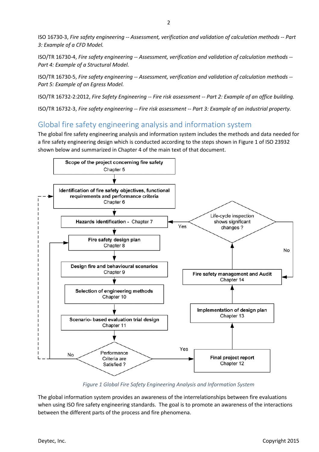ISO 16730-3, *Fire safety engineering -- Assessment, verification and validation of calculation methods -- Part 3: Example of a CFD Model.*

ISO/TR 16730-4, *Fire safety engineering -- Assessment, verification and validation of calculation methods -- Part 4: Example of a Structural Model.*

ISO/TR 16730-5, *Fire safety engineering -- Assessment, verification and validation of calculation methods -- Part 5: Example of an Egress Model.*

ISO/TR 16732-2:2012, *Fire Safety Engineering -- Fire risk assessment -- Part 2: Example of an office building.*

ISO/TR 16732-3, *Fire safety engineering -- Fire risk assessment -- Part 3: Example of an industrial property.*

# Global fire safety engineering analysis and information system

The global fire safety engineering analysis and information system includes the methods and data needed for a fire safety engineering design which is conducted according to the steps shown in Figure 1 of ISO 23932 shown below and summarized in Chapter 4 of the main text of that document.



*Figure 1 Global Fire Safety Engineering Analysis and Information System*

The global information system provides an awareness of the interrelationships between fire evaluations when using ISO fire safety engineering standards. The goal is to promote an awareness of the interactions between the different parts of the process and fire phenomena.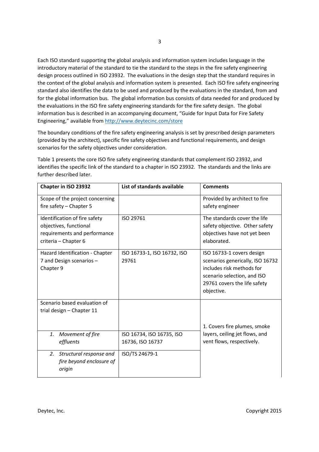Each ISO standard supporting the global analysis and information system includes language in the introductory material of the standard to tie the standard to the steps in the fire safety engineering design process outlined in ISO 23932. The evaluations in the design step that the standard requires in the context of the global analysis and information system is presented. Each ISO fire safety engineering standard also identifies the data to be used and produced by the evaluations in the standard, from and for the global information bus. The global information bus consists of data needed for and produced by the evaluations in the ISO fire safety engineering standards for the fire safety design. The global information bus is described in an accompanying document, "Guide for Input Data for Fire Safety Engineering," available from http://www.deytecinc.com/store

The boundary conditions of the fire safety engineering analysis is set by prescribed design parameters (provided by the architect), specific fire safety objectives and functional requirements, and design scenarios for the safety objectives under consideration.

Table 1 presents the core ISO fire safety engineering standards that complement ISO 23932, and identifies the specific link of the standard to a chapter in ISO 23932. The standards and the links are further described later.

| Chapter in ISO 23932                                   | List of standards available | <b>Comments</b>                                                |
|--------------------------------------------------------|-----------------------------|----------------------------------------------------------------|
| Scope of the project concerning                        |                             | Provided by architect to fire                                  |
| fire safety - Chapter 5                                |                             | safety engineer                                                |
| Identification of fire safety                          | ISO 29761                   | The standards cover the life                                   |
| objectives, functional<br>requirements and performance |                             | safety objective. Other safety<br>objectives have not yet been |
| criteria - Chapter 6                                   |                             | elaborated.                                                    |
| Hazard Identification - Chapter                        | ISO 16733-1, ISO 16732, ISO | ISO 16733-1 covers design                                      |
| 7 and Design scenarios -                               | 29761                       | scenarios generically, ISO 16732                               |
| Chapter 9                                              |                             | includes risk methods for                                      |
|                                                        |                             | scenario selection, and ISO                                    |
|                                                        |                             | 29761 covers the life safety                                   |
|                                                        |                             | objective.                                                     |
| Scenario based evaluation of                           |                             |                                                                |
| trial design - Chapter 11                              |                             |                                                                |
|                                                        |                             |                                                                |
| Movement of fire<br>1.                                 | ISO 16734, ISO 16735, ISO   | 1. Covers fire plumes, smoke<br>layers, ceiling jet flows, and |
| effluents                                              | 16736, ISO 16737            | vent flows, respectively.                                      |
|                                                        |                             |                                                                |
| 2.<br>Structural response and                          | ISO/TS 24679-1              |                                                                |
| fire beyond enclosure of                               |                             |                                                                |
| origin                                                 |                             |                                                                |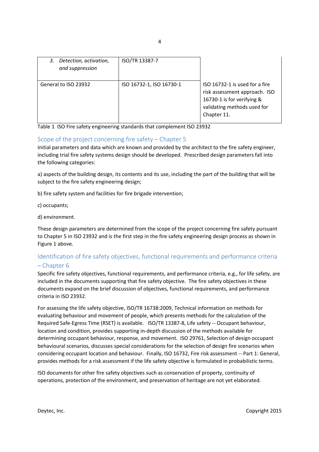| Detection, activation,<br>3.<br>and suppression | ISO/TR 13387-7           |                                                                                                                                             |
|-------------------------------------------------|--------------------------|---------------------------------------------------------------------------------------------------------------------------------------------|
| General to ISO 23932                            | ISO 16732-1, ISO 16730-1 | ISO 16732-1 is used for a fire<br>risk assessment approach. ISO<br>16730-1 is for verifying &<br>validating methods used for<br>Chapter 11. |

Table 1 ISO Fire safety engineering standards that complement ISO 23932

## Scope of the project concerning fire safety – Chapter 5

Initial parameters and data which are known and provided by the architect to the fire safety engineer, including trial fire safety systems design should be developed. Prescribed design parameters fall into the following categories:

a) aspects of the building design, its contents and its use, including the part of the building that will be subject to the fire safety engineering design;

b) fire safety system and facilities for fire brigade intervention;

- c) occupants;
- d) environment.

These design parameters are determined from the scope of the project concerning fire safety pursuant to Chapter 5 in ISO 23932 and is the first step in the fire safety engineering design process as shown in Figure 1 above.

# Identification of fire safety objectives, functional requirements and performance criteria – Chapter 6

Specific fire safety objectives, functional requirements, and performance criteria, e.g., for life safety, are included in the documents supporting that fire safety objective. The fire safety objectives in these documents expand on the brief discussion of objectives, functional requirements, and performance criteria in ISO 23932.

For assessing the life safety objective, ISO/TR 16738:2009, Technical information on methods for evaluating behaviour and movement of people, which presents methods for the calculation of the Required Safe-Egress Time (RSET) is available. ISO/TR 13387-8, Life safety -- Occupant behaviour, location and condition, provides supporting in-depth discussion of the methods available for determining occupant behaviour, response, and movement. ISO 29761, Selection of design occupant behavioural scenarios, discusses special considerations for the selection of design fire scenarios when considering occupant location and behaviour. Finally, ISO 16732, Fire risk assessment -- Part 1: General, provides methods for a risk assessment if the life safety objective is formulated in probabilistic terms.

ISO documents for other fire safety objectives such as conservation of property, continuity of operations, protection of the environment, and preservation of heritage are not yet elaborated.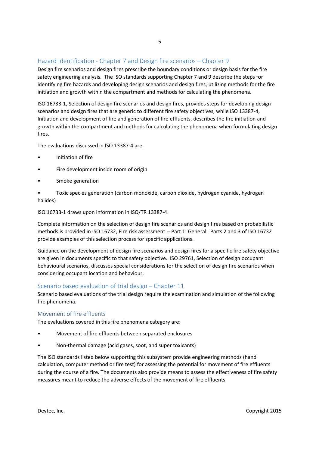## Hazard Identification - Chapter 7 and Design fire scenarios – Chapter 9

Design fire scenarios and design fires prescribe the boundary conditions or design basis for the fire safety engineering analysis. The ISO standards supporting Chapter 7 and 9 describe the steps for identifying fire hazards and developing design scenarios and design fires, utilizing methods for the fire initiation and growth within the compartment and methods for calculating the phenomena.

ISO 16733-1, Selection of design fire scenarios and design fires, provides steps for developing design scenarios and design fires that are generic to different fire safety objectives, while ISO 13387-4, Initiation and development of fire and generation of fire effluents, describes the fire initiation and growth within the compartment and methods for calculating the phenomena when formulating design fires.

The evaluations discussed in ISO 13387-4 are:

- Initiation of fire
- Fire development inside room of origin
- Smoke generation
- Toxic species generation (carbon monoxide, carbon dioxide, hydrogen cyanide, hydrogen halides)

ISO 16733-1 draws upon information in ISO/TR 13387-4.

Complete information on the selection of design fire scenarios and design fires based on probabilistic methods is provided in ISO 16732, Fire risk assessment -- Part 1: General. Parts 2 and 3 of ISO 16732 provide examples of this selection process for specific applications.

Guidance on the development of design fire scenarios and design fires for a specific fire safety objective are given in documents specific to that safety objective. ISO 29761, Selection of design occupant behavioural scenarios, discusses special considerations for the selection of design fire scenarios when considering occupant location and behaviour.

## Scenario based evaluation of trial design – Chapter 11

Scenario based evaluations of the trial design require the examination and simulation of the following fire phenomena.

#### Movement of fire effluents

The evaluations covered in this fire phenomena category are:

- Movement of fire effluents between separated enclosures
- Non-thermal damage (acid gases, soot, and super toxicants)

The ISO standards listed below supporting this subsystem provide engineering methods (hand calculation, computer method or fire test) for assessing the potential for movement of fire effluents during the course of a fire. The documents also provide means to assess the effectiveness of fire safety measures meant to reduce the adverse effects of the movement of fire effluents.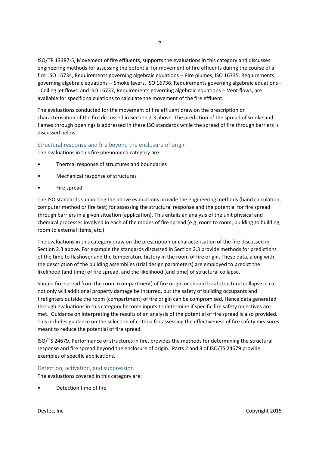ISO/TR 13387-5, Movement of fire effluents, supports the evaluations in this category and discusses engineering methods for assessing the potential for movement of fire effluents during the course of a fire. ISO 16734, Requirements governing algebraic equations -- Fire plumes, ISO 16735, Requirements governing algebraic equations -- Smoke layers, ISO 16736, Requirements governing algebraic equations - - Ceiling jet flows, and ISO 16737, Requirements governing algebraic equations -- Vent flows, are available for specific calculations to calculate the movement of the fire effluent.

The evaluations conducted for the movement of fire effluent draw on the prescription or characterisation of the fire discussed in Section 2.3 above. The prediction of the spread of smoke and flames through openings is addressed in these ISO standards while the spread of fire through barriers is discussed below.

#### Structural response and fire beyond the enclosure of origin

The evaluations in this fire phenomena category are:

- Thermal response of structures and boundaries
- Mechanical response of structures
- Fire spread

The ISO standards supporting the above evaluations provide the engineering methods (hand calculation, computer method or fire test) for assessing the structural response and the potential for fire spread through barriers in a given situation (application). This entails an analysis of the unit physical and chemical processes involved in each of the modes of fire spread (e.g. room to room, building to building, room to external items, etc.).

The evaluations in this category draw on the prescription or characterisation of the fire discussed in Section 2.3 above. For example the standards discussed in Section 2.3 provide methods for predictions of the time to flashover and the temperature history in the room of fire origin. These data, along with the description of the building assemblies (trial design parameters) are employed to predict the likelihood (and time) of fire spread, and the likelihood (and time) of structural collapse.

Should fire spread from the room (compartment) of fire origin or should local structural collapse occur, not only will additional property damage be incurred, but the safety of building occupants and firefighters outside the room (compartment) of fire origin can be compromised. Hence data generated through evaluations in this category become inputs to determine if specific fire safety objectives are met. Guidance on interpreting the results of an analysis of the potential of fire spread is also provided. This includes guidance on the selection of criteria for assessing the effectiveness of fire safety measures meant to reduce the potential of fire spread.

ISO/TS 24679, Performance of structures in fire, provides the methods for determining the structural response and fire spread beyond the enclosure of origin. Parts 2 and 3 of ISO/TS 24679 provide examples of specific applications.

Detection, activation, and suppression The evaluations covered in this category are:

• Detection time of fire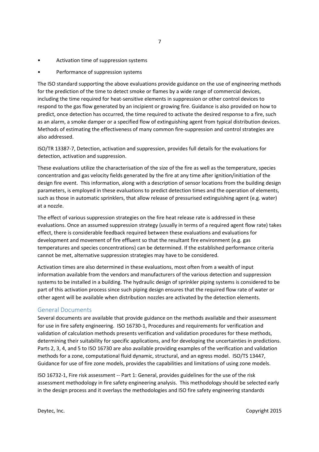- Activation time of suppression systems
- Performance of suppression systems

The ISO standard supporting the above evaluations provide guidance on the use of engineering methods for the prediction of the time to detect smoke or flames by a wide range of commercial devices, including the time required for heat-sensitive elements in suppression or other control devices to respond to the gas flow generated by an incipient or growing fire. Guidance is also provided on how to predict, once detection has occurred, the time required to activate the desired response to a fire, such as an alarm, a smoke damper or a specified flow of extinguishing agent from typical distribution devices. Methods of estimating the effectiveness of many common fire-suppression and control strategies are also addressed.

ISO/TR 13387-7, Detection, activation and suppression, provides full details for the evaluations for detection, activation and suppression.

These evaluations utilize the characterisation of the size of the fire as well as the temperature, species concentration and gas velocity fields generated by the fire at any time after ignition/initiation of the design fire event. This information, along with a description of sensor locations from the building design parameters, is employed in these evaluations to predict detection times and the operation of elements, such as those in automatic sprinklers, that allow release of pressurised extinguishing agent (e.g. water) at a nozzle.

The effect of various suppression strategies on the fire heat release rate is addressed in these evaluations. Once an assumed suppression strategy (usually in terms of a required agent flow rate) takes effect, there is considerable feedback required between these evaluations and evaluations for development and movement of fire effluent so that the resultant fire environment (e.g. gas temperatures and species concentrations) can be determined. If the established performance criteria cannot be met, alternative suppression strategies may have to be considered.

Activation times are also determined in these evaluations, most often from a wealth of input information available from the vendors and manufacturers of the various detection and suppression systems to be installed in a building. The hydraulic design of sprinkler piping systems is considered to be part of this activation process since such piping design ensures that the required flow rate of water or other agent will be available when distribution nozzles are activated by the detection elements.

#### General Documents

Several documents are available that provide guidance on the methods available and their assessment for use in fire safety engineering. ISO 16730-1, Procedures and requirements for verification and validation of calculation methods presents verification and validation procedures for these methods, determining their suitability for specific applications, and for developing the uncertainties in predictions. Parts 2, 3, 4, and 5 to ISO 16730 are also available providing examples of the verification and validation methods for a zone, computational fluid dynamic, structural, and an egress model. ISO/TS 13447, Guidance for use of fire zone models, provides the capabilities and limitations of using zone models.

ISO 16732-1, Fire risk assessment -- Part 1: General, provides guidelines for the use of the risk assessment methodology in fire safety engineering analysis. This methodology should be selected early in the design process and it overlays the methodologies and ISO fire safety engineering standards